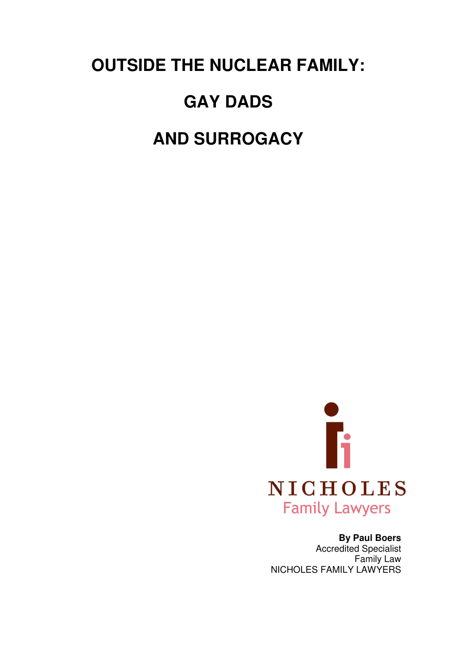# **OUTSIDE THE NUCLEAR FAMILY:**

# **GAY DADS**

# **AND SURROGACY**



#### **By Paul Boers**

Accredited Specialist Family Law NICHOLES FAMILY LAWYERS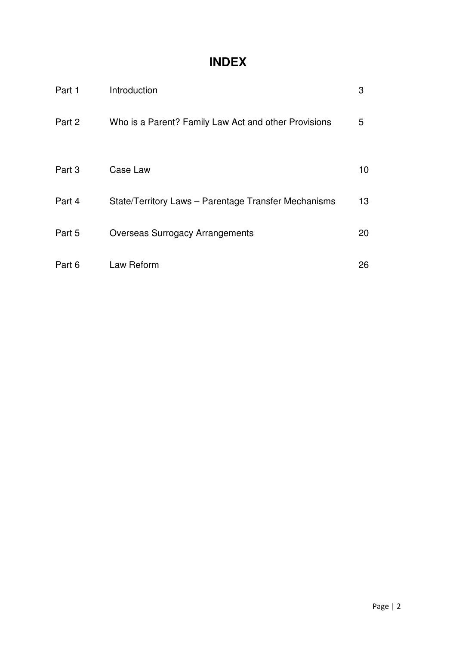## **INDEX**

| Part 1 | Introduction                                         | 3               |
|--------|------------------------------------------------------|-----------------|
| Part 2 | Who is a Parent? Family Law Act and other Provisions | 5               |
| Part 3 | Case Law                                             | 10 <sup>°</sup> |
| Part 4 | State/Territory Laws - Parentage Transfer Mechanisms | 13 <sup>°</sup> |
| Part 5 | <b>Overseas Surrogacy Arrangements</b>               | 20              |
| Part 6 | Law Reform                                           | 26              |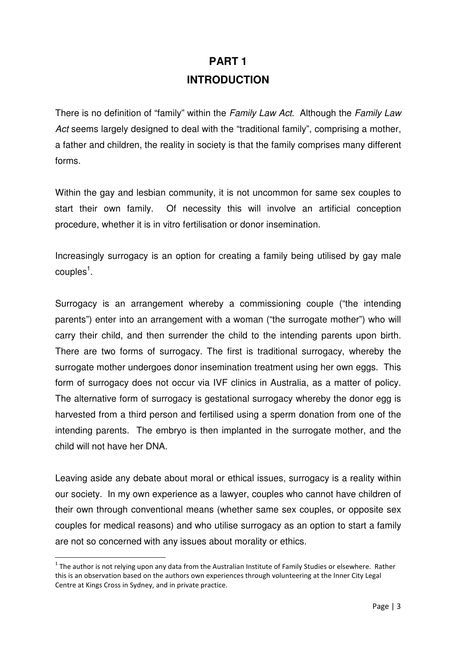## **PART 1 INTRODUCTION**

There is no definition of "family" within the Family Law Act. Although the Family Law Act seems largely designed to deal with the "traditional family", comprising a mother, a father and children, the reality in society is that the family comprises many different forms.

Within the gay and lesbian community, it is not uncommon for same sex couples to start their own family. Of necessity this will involve an artificial conception procedure, whether it is in vitro fertilisation or donor insemination.

Increasingly surrogacy is an option for creating a family being utilised by gay male couples $^{\rm 1}.$ 

Surrogacy is an arrangement whereby a commissioning couple ("the intending parents") enter into an arrangement with a woman ("the surrogate mother") who will carry their child, and then surrender the child to the intending parents upon birth. There are two forms of surrogacy. The first is traditional surrogacy, whereby the surrogate mother undergoes donor insemination treatment using her own eggs. This form of surrogacy does not occur via IVF clinics in Australia, as a matter of policy. The alternative form of surrogacy is gestational surrogacy whereby the donor egg is harvested from a third person and fertilised using a sperm donation from one of the intending parents. The embryo is then implanted in the surrogate mother, and the child will not have her DNA.

Leaving aside any debate about moral or ethical issues, surrogacy is a reality within our society. In my own experience as a lawyer, couples who cannot have children of their own through conventional means (whether same sex couples, or opposite sex couples for medical reasons) and who utilise surrogacy as an option to start a family are not so concerned with any issues about morality or ethics.

 $1$  The author is not relying upon any data from the Australian Institute of Family Studies or elsewhere. Rather this is an observation based on the authors own experiences through volunteering at the Inner City Legal Centre at Kings Cross in Sydney, and in private practice.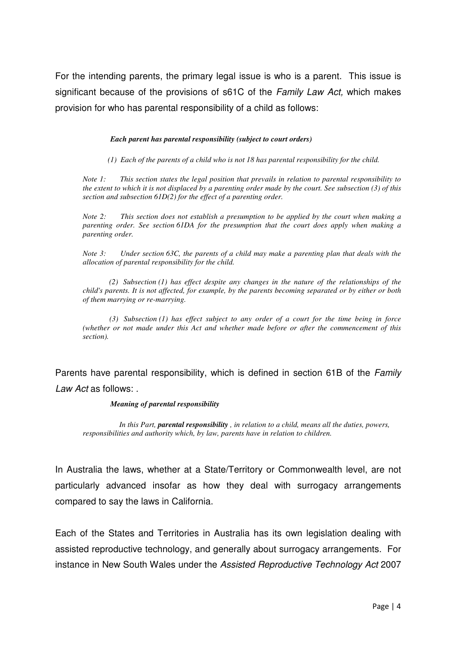For the intending parents, the primary legal issue is who is a parent. This issue is significant because of the provisions of s61C of the Family Law Act, which makes provision for who has parental responsibility of a child as follows:

#### *Each parent has parental responsibility (subject to court orders)*

 *(1) Each of the parents of a child who is not 18 has parental responsibility for the child.* 

*Note 1: This section states the legal position that prevails in relation to parental responsibility to the extent to which it is not displaced by a parenting order made by the court. See subsection (3) of this section and subsection 61D(2) for the effect of a parenting order.* 

*Note 2: This section does not establish a presumption to be applied by the court when making a parenting order. See section 61DA for the presumption that the court does apply when making a parenting order.* 

*Note 3: Under section 63C, the parents of a child may make a parenting plan that deals with the allocation of parental responsibility for the child.* 

 *(2) Subsection (1) has effect despite any changes in the nature of the relationships of the child's parents. It is not affected, for example, by the parents becoming separated or by either or both of them marrying or re-marrying.* 

 *(3) Subsection (1) has effect subject to any order of a court for the time being in force (whether or not made under this Act and whether made before or after the commencement of this section).* 

Parents have parental responsibility, which is defined in section 61B of the Family Law Act as follows: .

#### *Meaning of parental responsibility*

 *In this Part, parental responsibility , in relation to a child, means all the duties, powers, responsibilities and authority which, by law, parents have in relation to children.* 

In Australia the laws, whether at a State/Territory or Commonwealth level, are not particularly advanced insofar as how they deal with surrogacy arrangements compared to say the laws in California.

Each of the States and Territories in Australia has its own legislation dealing with assisted reproductive technology, and generally about surrogacy arrangements. For instance in New South Wales under the Assisted Reproductive Technology Act 2007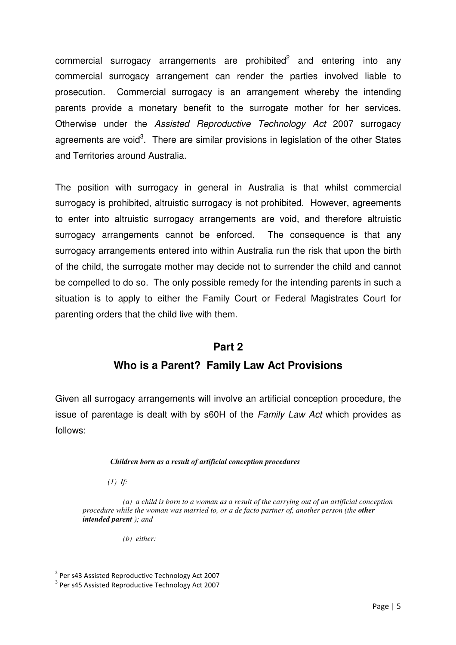commercial surrogacy arrangements are prohibited<sup>2</sup> and entering into any commercial surrogacy arrangement can render the parties involved liable to prosecution. Commercial surrogacy is an arrangement whereby the intending parents provide a monetary benefit to the surrogate mother for her services. Otherwise under the Assisted Reproductive Technology Act 2007 surrogacy agreements are void<sup>3</sup>. There are similar provisions in legislation of the other States and Territories around Australia.

The position with surrogacy in general in Australia is that whilst commercial surrogacy is prohibited, altruistic surrogacy is not prohibited. However, agreements to enter into altruistic surrogacy arrangements are void, and therefore altruistic surrogacy arrangements cannot be enforced. The consequence is that any surrogacy arrangements entered into within Australia run the risk that upon the birth of the child, the surrogate mother may decide not to surrender the child and cannot be compelled to do so. The only possible remedy for the intending parents in such a situation is to apply to either the Family Court or Federal Magistrates Court for parenting orders that the child live with them.

## **Part 2**

## **Who is a Parent? Family Law Act Provisions**

Given all surrogacy arrangements will involve an artificial conception procedure, the issue of parentage is dealt with by s60H of the Family Law Act which provides as follows:

#### *Children born as a result of artificial conception procedures*

 *(1) If:* 

l

 *(a) a child is born to a woman as a result of the carrying out of an artificial conception procedure while the woman was married to, or a de facto partner of, another person (the other intended parent ); and* 

 *(b) either:* 

<sup>&</sup>lt;sup>2</sup> Per s43 Assisted Reproductive Technology Act 2007

<sup>&</sup>lt;sup>3</sup> Per s45 Assisted Reproductive Technology Act 2007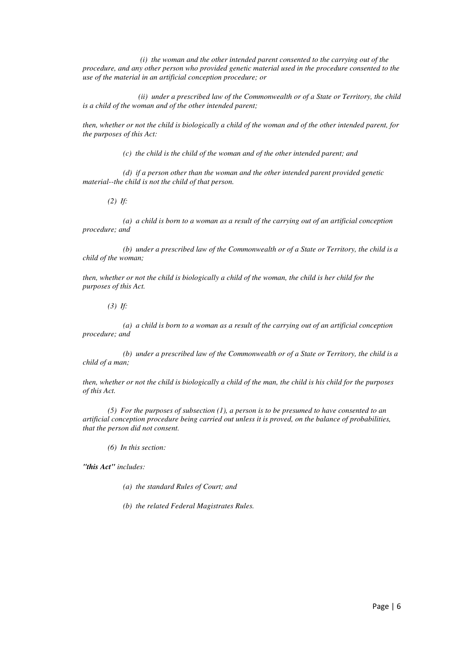*(i) the woman and the other intended parent consented to the carrying out of the procedure, and any other person who provided genetic material used in the procedure consented to the use of the material in an artificial conception procedure; or* 

 *(ii) under a prescribed law of the Commonwealth or of a State or Territory, the child is a child of the woman and of the other intended parent;* 

*then, whether or not the child is biologically a child of the woman and of the other intended parent, for the purposes of this Act:* 

 *(c) the child is the child of the woman and of the other intended parent; and* 

 *(d) if a person other than the woman and the other intended parent provided genetic material--the child is not the child of that person.* 

 *(2) If:* 

 *(a) a child is born to a woman as a result of the carrying out of an artificial conception procedure; and* 

 *(b) under a prescribed law of the Commonwealth or of a State or Territory, the child is a child of the woman;* 

*then, whether or not the child is biologically a child of the woman, the child is her child for the purposes of this Act.* 

 *(3) If:* 

 *(a) a child is born to a woman as a result of the carrying out of an artificial conception procedure; and* 

 *(b) under a prescribed law of the Commonwealth or of a State or Territory, the child is a child of a man;* 

*then, whether or not the child is biologically a child of the man, the child is his child for the purposes of this Act.* 

 *(5) For the purposes of subsection (1), a person is to be presumed to have consented to an artificial conception procedure being carried out unless it is proved, on the balance of probabilities, that the person did not consent.* 

 *(6) In this section:* 

*"this Act" includes:* 

 *(a) the standard Rules of Court; and* 

 *(b) the related Federal Magistrates Rules.*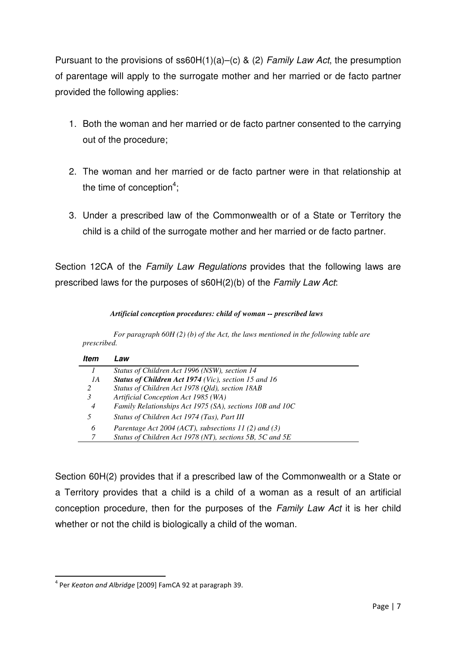Pursuant to the provisions of ss60H(1)(a)–(c) & (2) Family Law Act, the presumption of parentage will apply to the surrogate mother and her married or de facto partner provided the following applies:

- 1. Both the woman and her married or de facto partner consented to the carrying out of the procedure;
- 2. The woman and her married or de facto partner were in that relationship at the time of conception<sup>4</sup>;
- 3. Under a prescribed law of the Commonwealth or of a State or Territory the child is a child of the surrogate mother and her married or de facto partner.

Section 12CA of the Family Law Regulations provides that the following laws are prescribed laws for the purposes of s60H(2)(b) of the Family Law Act:

*Artificial conception procedures: child of woman -- prescribed laws* 

 *For paragraph 60H (2) (b) of the Act, the laws mentioned in the following table are prescribed.* 

| ltem           | Law                                                         |
|----------------|-------------------------------------------------------------|
|                | Status of Children Act 1996 (NSW), section 14               |
| 1A             | <b>Status of Children Act 1974</b> (Vic), section 15 and 16 |
| $\mathcal{L}$  | Status of Children Act 1978 (Qld), section 18AB             |
| 3              | Artificial Conception Act 1985 (WA)                         |
| $\overline{4}$ | Family Relationships Act 1975 (SA), sections 10B and 10C    |
| 5              | Status of Children Act 1974 (Tas), Part III                 |
| 6              | Parentage Act 2004 (ACT), subsections 11 (2) and (3)        |
|                | Status of Children Act 1978 (NT), sections 5B, 5C and 5E    |

Section 60H(2) provides that if a prescribed law of the Commonwealth or a State or a Territory provides that a child is a child of a woman as a result of an artificial conception procedure, then for the purposes of the Family Law Act it is her child whether or not the child is biologically a child of the woman.

<sup>&</sup>lt;sup>4</sup> Per Keaton and Albridge [2009] FamCA 92 at paragraph 39.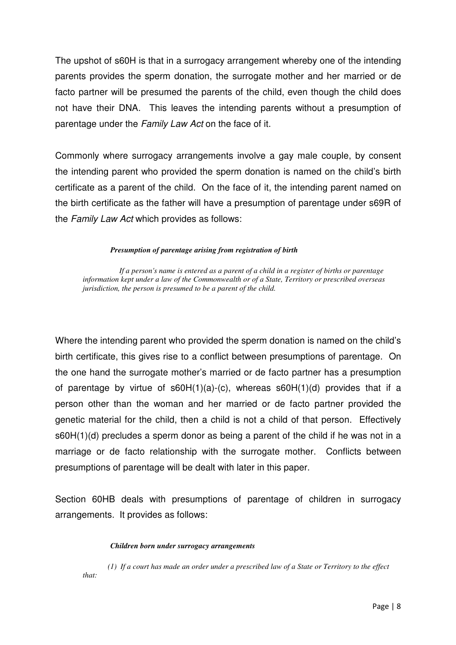The upshot of s60H is that in a surrogacy arrangement whereby one of the intending parents provides the sperm donation, the surrogate mother and her married or de facto partner will be presumed the parents of the child, even though the child does not have their DNA. This leaves the intending parents without a presumption of parentage under the Family Law Act on the face of it.

Commonly where surrogacy arrangements involve a gay male couple, by consent the intending parent who provided the sperm donation is named on the child's birth certificate as a parent of the child. On the face of it, the intending parent named on the birth certificate as the father will have a presumption of parentage under s69R of the Family Law Act which provides as follows:

#### *Presumption of parentage arising from registration of birth*

 *If a person's name is entered as a parent of a child in a register of births or parentage information kept under a law of the Commonwealth or of a State, Territory or prescribed overseas jurisdiction, the person is presumed to be a parent of the child.* 

Where the intending parent who provided the sperm donation is named on the child's birth certificate, this gives rise to a conflict between presumptions of parentage. On the one hand the surrogate mother's married or de facto partner has a presumption of parentage by virtue of  $s60H(1)(a)-(c)$ , whereas  $s60H(1)(d)$  provides that if a person other than the woman and her married or de facto partner provided the genetic material for the child, then a child is not a child of that person. Effectively s60H(1)(d) precludes a sperm donor as being a parent of the child if he was not in a marriage or de facto relationship with the surrogate mother. Conflicts between presumptions of parentage will be dealt with later in this paper.

Section 60HB deals with presumptions of parentage of children in surrogacy arrangements. It provides as follows:

#### *Children born under surrogacy arrangements*

 *(1) If a court has made an order under a prescribed law of a State or Territory to the effect that:*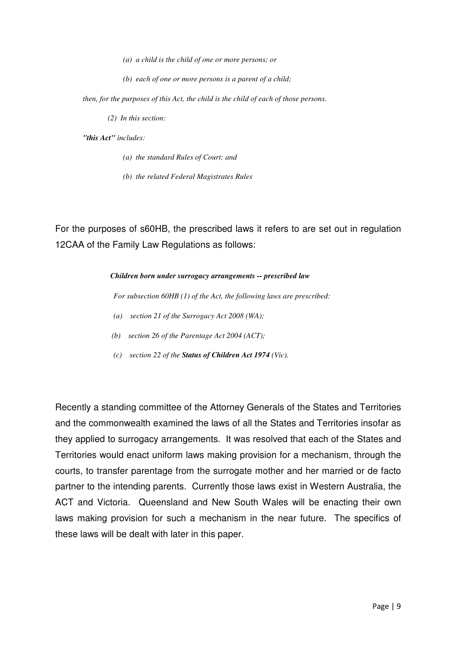- *(a) a child is the child of one or more persons; or*
- *(b) each of one or more persons is a parent of a child;*

*then, for the purposes of this Act, the child is the child of each of those persons.* 

 *(2) In this section:* 

*"this Act" includes:* 

- *(a) the standard Rules of Court; and*
- *(b) the related Federal Magistrates Rules*

For the purposes of s60HB, the prescribed laws it refers to are set out in regulation 12CAA of the Family Law Regulations as follows:

#### *Children born under surrogacy arrangements -- prescribed law*

 *For subsection 60HB (1) of the Act, the following laws are prescribed:* 

- *(a) section 21 of the Surrogacy Act 2008 (WA);*
- *(b) section 26 of the Parentage Act 2004 (ACT);*
- *(c) section 22 of the Status of Children Act 1974 (Vic).*

Recently a standing committee of the Attorney Generals of the States and Territories and the commonwealth examined the laws of all the States and Territories insofar as they applied to surrogacy arrangements. It was resolved that each of the States and Territories would enact uniform laws making provision for a mechanism, through the courts, to transfer parentage from the surrogate mother and her married or de facto partner to the intending parents. Currently those laws exist in Western Australia, the ACT and Victoria. Queensland and New South Wales will be enacting their own laws making provision for such a mechanism in the near future. The specifics of these laws will be dealt with later in this paper.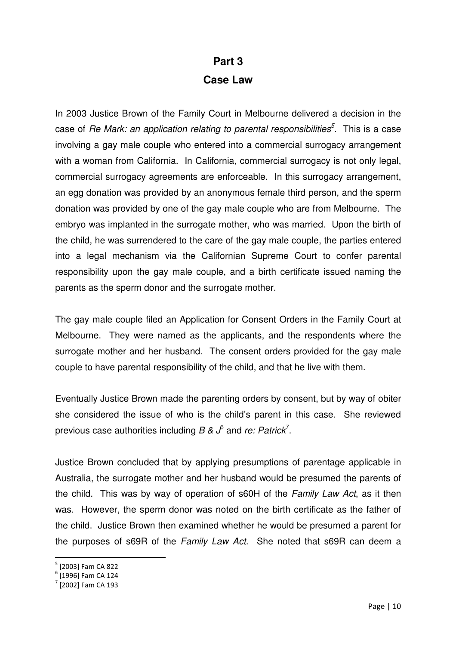## **Part 3 Case Law**

In 2003 Justice Brown of the Family Court in Melbourne delivered a decision in the case of Re Mark: an application relating to parental responsibilities<sup>5</sup>. This is a case involving a gay male couple who entered into a commercial surrogacy arrangement with a woman from California. In California, commercial surrogacy is not only legal, commercial surrogacy agreements are enforceable. In this surrogacy arrangement, an egg donation was provided by an anonymous female third person, and the sperm donation was provided by one of the gay male couple who are from Melbourne. The embryo was implanted in the surrogate mother, who was married. Upon the birth of the child, he was surrendered to the care of the gay male couple, the parties entered into a legal mechanism via the Californian Supreme Court to confer parental responsibility upon the gay male couple, and a birth certificate issued naming the parents as the sperm donor and the surrogate mother.

The gay male couple filed an Application for Consent Orders in the Family Court at Melbourne. They were named as the applicants, and the respondents where the surrogate mother and her husband. The consent orders provided for the gay male couple to have parental responsibility of the child, and that he live with them.

Eventually Justice Brown made the parenting orders by consent, but by way of obiter she considered the issue of who is the child's parent in this case. She reviewed previous case authorities including B &  $\int_{0}^{\delta}$  and re: Patrick<sup>7</sup>.

Justice Brown concluded that by applying presumptions of parentage applicable in Australia, the surrogate mother and her husband would be presumed the parents of the child. This was by way of operation of s60H of the Family Law Act, as it then was. However, the sperm donor was noted on the birth certificate as the father of the child. Justice Brown then examined whether he would be presumed a parent for the purposes of s69R of the Family Law Act. She noted that s69R can deem a

<sup>5</sup> [2003] Fam CA 822

<sup>&</sup>lt;sup>6</sup> [1996] Fam CA 124

<sup>7</sup> [2002] Fam CA 193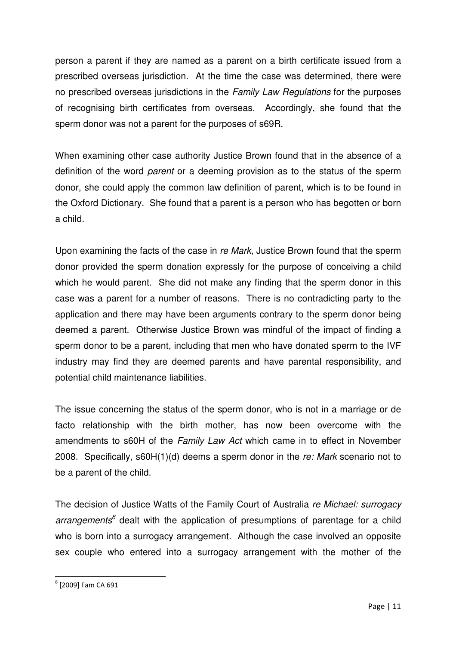person a parent if they are named as a parent on a birth certificate issued from a prescribed overseas jurisdiction. At the time the case was determined, there were no prescribed overseas jurisdictions in the Family Law Regulations for the purposes of recognising birth certificates from overseas. Accordingly, she found that the sperm donor was not a parent for the purposes of s69R.

When examining other case authority Justice Brown found that in the absence of a definition of the word parent or a deeming provision as to the status of the sperm donor, she could apply the common law definition of parent, which is to be found in the Oxford Dictionary. She found that a parent is a person who has begotten or born a child.

Upon examining the facts of the case in re Mark, Justice Brown found that the sperm donor provided the sperm donation expressly for the purpose of conceiving a child which he would parent. She did not make any finding that the sperm donor in this case was a parent for a number of reasons. There is no contradicting party to the application and there may have been arguments contrary to the sperm donor being deemed a parent. Otherwise Justice Brown was mindful of the impact of finding a sperm donor to be a parent, including that men who have donated sperm to the IVF industry may find they are deemed parents and have parental responsibility, and potential child maintenance liabilities.

The issue concerning the status of the sperm donor, who is not in a marriage or de facto relationship with the birth mother, has now been overcome with the amendments to s60H of the Family Law Act which came in to effect in November 2008. Specifically, s60H(1)(d) deems a sperm donor in the re: Mark scenario not to be a parent of the child.

The decision of Justice Watts of the Family Court of Australia re Michael: surrogacy arrangements<sup>8</sup> dealt with the application of presumptions of parentage for a child who is born into a surrogacy arrangement. Although the case involved an opposite sex couple who entered into a surrogacy arrangement with the mother of the

<sup>8</sup> [2009] Fam CA 691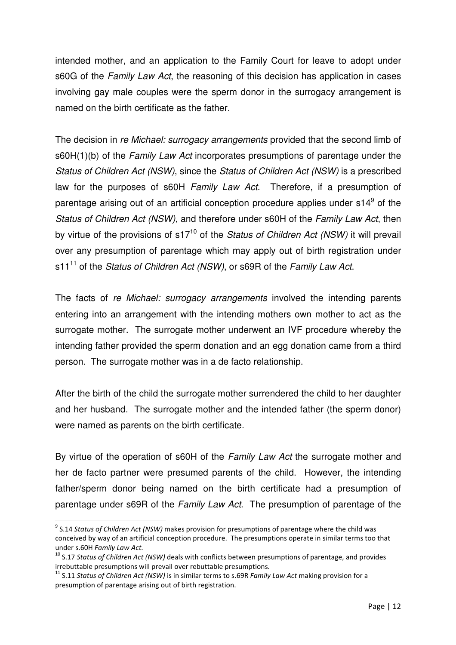intended mother, and an application to the Family Court for leave to adopt under s60G of the Family Law Act, the reasoning of this decision has application in cases involving gay male couples were the sperm donor in the surrogacy arrangement is named on the birth certificate as the father.

The decision in re Michael: surrogacy arrangements provided that the second limb of s60H(1)(b) of the Family Law Act incorporates presumptions of parentage under the Status of Children Act (NSW), since the Status of Children Act (NSW) is a prescribed law for the purposes of s60H Family Law Act. Therefore, if a presumption of parentage arising out of an artificial conception procedure applies under  $s14<sup>9</sup>$  of the Status of Children Act (NSW), and therefore under s60H of the Family Law Act, then by virtue of the provisions of  $s17^{10}$  of the *Status of Children Act (NSW)* it will prevail over any presumption of parentage which may apply out of birth registration under s11 $11$  of the Status of Children Act (NSW), or s69R of the Family Law Act.

The facts of re Michael: surrogacy arrangements involved the intending parents entering into an arrangement with the intending mothers own mother to act as the surrogate mother. The surrogate mother underwent an IVF procedure whereby the intending father provided the sperm donation and an egg donation came from a third person. The surrogate mother was in a de facto relationship.

After the birth of the child the surrogate mother surrendered the child to her daughter and her husband. The surrogate mother and the intended father (the sperm donor) were named as parents on the birth certificate.

By virtue of the operation of s60H of the Family Law Act the surrogate mother and her de facto partner were presumed parents of the child. However, the intending father/sperm donor being named on the birth certificate had a presumption of parentage under s69R of the Family Law Act. The presumption of parentage of the

 $^9$  S.14 Status of Children Act (NSW) makes provision for presumptions of parentage where the child was conceived by way of an artificial conception procedure. The presumptions operate in similar terms too that under s.60H Family Law Act.

 $10$  S.17 Status of Children Act (NSW) deals with conflicts between presumptions of parentage, and provides irrebuttable presumptions will prevail over rebuttable presumptions.

<sup>&</sup>lt;sup>11</sup> S.11 Status of Children Act (NSW) is in similar terms to s.69R Family Law Act making provision for a presumption of parentage arising out of birth registration.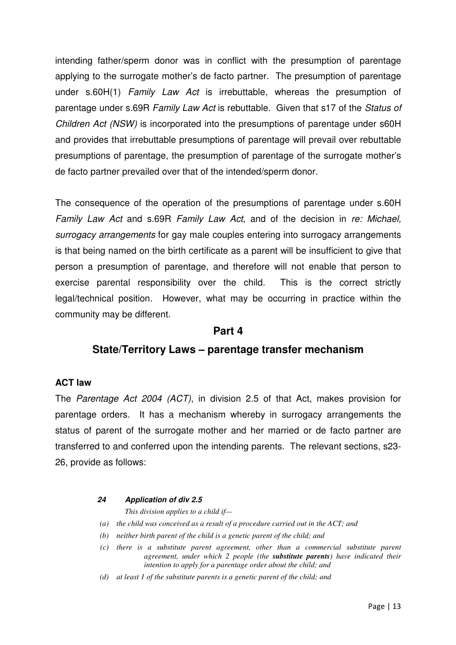intending father/sperm donor was in conflict with the presumption of parentage applying to the surrogate mother's de facto partner. The presumption of parentage under s.60H(1) Family Law Act is irrebuttable, whereas the presumption of parentage under s.69R Family Law Act is rebuttable. Given that s17 of the Status of Children Act (NSW) is incorporated into the presumptions of parentage under s60H and provides that irrebuttable presumptions of parentage will prevail over rebuttable presumptions of parentage, the presumption of parentage of the surrogate mother's de facto partner prevailed over that of the intended/sperm donor.

The consequence of the operation of the presumptions of parentage under s.60H Family Law Act and s.69R Family Law Act, and of the decision in re: Michael, surrogacy arrangements for gay male couples entering into surrogacy arrangements is that being named on the birth certificate as a parent will be insufficient to give that person a presumption of parentage, and therefore will not enable that person to exercise parental responsibility over the child. This is the correct strictly legal/technical position. However, what may be occurring in practice within the community may be different.

## **Part 4**

## **State/Territory Laws – parentage transfer mechanism**

## **ACT law**

The Parentage Act 2004 (ACT), in division 2.5 of that Act, makes provision for parentage orders. It has a mechanism whereby in surrogacy arrangements the status of parent of the surrogate mother and her married or de facto partner are transferred to and conferred upon the intending parents. The relevant sections, s23- 26, provide as follows:

| -24 | <b>Application of div 2.5</b> |  |
|-----|-------------------------------|--|

*This division applies to a child if—* 

- *(a) the child was conceived as a result of a procedure carried out in the ACT; and*
- *(b) neither birth parent of the child is a genetic parent of the child; and*
- *(c) there is a substitute parent agreement, other than a commercial substitute parent agreement, under which 2 people (the substitute parents) have indicated their intention to apply for a parentage order about the child; and*
- *(d) at least 1 of the substitute parents is a genetic parent of the child; and*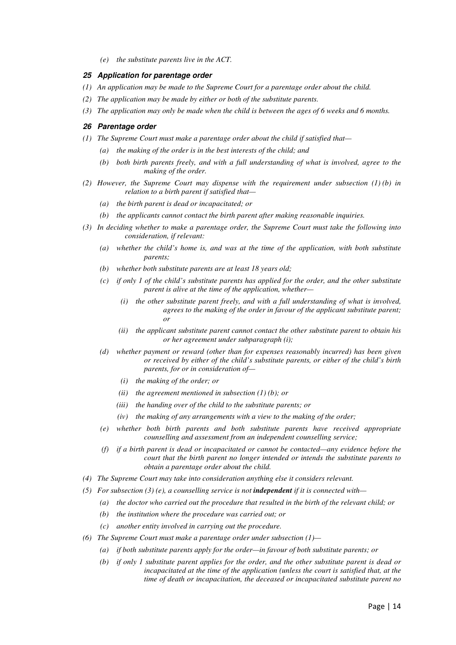*(e) the substitute parents live in the ACT.* 

#### **25 Application for parentage order**

- *(1) An application may be made to the Supreme Court for a parentage order about the child.*
- *(2) The application may be made by either or both of the substitute parents.*
- *(3) The application may only be made when the child is between the ages of 6 weeks and 6 months.*

#### **26 Parentage order**

- *(1) The Supreme Court must make a parentage order about the child if satisfied that—* 
	- *(a) the making of the order is in the best interests of the child; and*
	- *(b) both birth parents freely, and with a full understanding of what is involved, agree to the making of the order.*
- *(2) However, the Supreme Court may dispense with the requirement under subsection (1) (b) in relation to a birth parent if satisfied that—* 
	- *(a) the birth parent is dead or incapacitated; or*
	- *(b) the applicants cannot contact the birth parent after making reasonable inquiries.*
- *(3) In deciding whether to make a parentage order, the Supreme Court must take the following into consideration, if relevant:* 
	- *(a) whether the child's home is, and was at the time of the application, with both substitute parents;*
	- *(b) whether both substitute parents are at least 18 years old;*
	- *(c) if only 1 of the child's substitute parents has applied for the order, and the other substitute parent is alive at the time of the application, whether—* 
		- *(i) the other substitute parent freely, and with a full understanding of what is involved, agrees to the making of the order in favour of the applicant substitute parent; or*
		- *(ii) the applicant substitute parent cannot contact the other substitute parent to obtain his or her agreement under subparagraph (i);*
	- *(d) whether payment or reward (other than for expenses reasonably incurred) has been given or received by either of the child's substitute parents, or either of the child's birth parents, for or in consideration of—* 
		- *(i) the making of the order; or*
		- *(ii) the agreement mentioned in subsection (1) (b); or*
		- *(iii) the handing over of the child to the substitute parents; or*
		- *(iv) the making of any arrangements with a view to the making of the order;*
	- *(e) whether both birth parents and both substitute parents have received appropriate counselling and assessment from an independent counselling service;*
	- *(f) if a birth parent is dead or incapacitated or cannot be contacted—any evidence before the court that the birth parent no longer intended or intends the substitute parents to obtain a parentage order about the child.*
- *(4) The Supreme Court may take into consideration anything else it considers relevant.*
- (5) For subsection  $(3)(e)$ , a counselling service is not **independent** if it is connected with—
	- *(a) the doctor who carried out the procedure that resulted in the birth of the relevant child; or*
	- *(b) the institution where the procedure was carried out; or*
	- *(c) another entity involved in carrying out the procedure.*
- *(6) The Supreme Court must make a parentage order under subsection (1)—* 
	- *(a) if both substitute parents apply for the order—in favour of both substitute parents; or*
	- *(b) if only 1 substitute parent applies for the order, and the other substitute parent is dead or*  incapacitated at the time of the application (unless the court is satisfied that, at the *time of death or incapacitation, the deceased or incapacitated substitute parent no*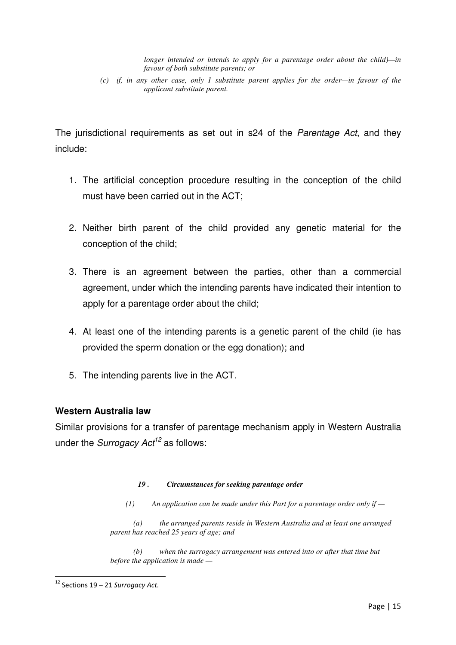*longer intended or intends to apply for a parentage order about the child)—in favour of both substitute parents; or* 

 *(c) if, in any other case, only 1 substitute parent applies for the order—in favour of the applicant substitute parent.* 

The jurisdictional requirements as set out in s24 of the *Parentage Act*, and they include:

- 1. The artificial conception procedure resulting in the conception of the child must have been carried out in the ACT;
- 2. Neither birth parent of the child provided any genetic material for the conception of the child;
- 3. There is an agreement between the parties, other than a commercial agreement, under which the intending parents have indicated their intention to apply for a parentage order about the child;
- 4. At least one of the intending parents is a genetic parent of the child (ie has provided the sperm donation or the egg donation); and
- 5. The intending parents live in the ACT.

## **Western Australia law**

Similar provisions for a transfer of parentage mechanism apply in Western Australia under the *Surrogacy Act<sup>12</sup>* as follows:

#### *19 . Circumstances for seeking parentage order*

 *(1) An application can be made under this Part for a parentage order only if —* 

 *(a) the arranged parents reside in Western Australia and at least one arranged parent has reached 25 years of age; and* 

 *(b) when the surrogacy arrangement was entered into or after that time but before the application is made —* 

 $12$  Sections 19 – 21 Surrogacy Act.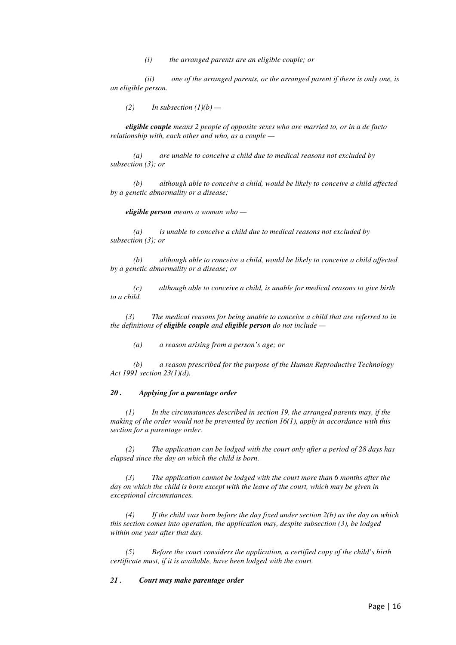*(i) the arranged parents are an eligible couple; or* 

 *(ii) one of the arranged parents, or the arranged parent if there is only one, is an eligible person.* 

 $\sum_{l=1}^{n}$  *In subsection (1)(b)* —

 *eligible couple means 2 people of opposite sexes who are married to, or in a de facto relationship with, each other and who, as a couple —* 

 *(a) are unable to conceive a child due to medical reasons not excluded by subsection (3); or* 

 *(b) although able to conceive a child, would be likely to conceive a child affected by a genetic abnormality or a disease;* 

 *eligible person means a woman who —* 

 *(a) is unable to conceive a child due to medical reasons not excluded by subsection (3); or* 

 *(b) although able to conceive a child, would be likely to conceive a child affected by a genetic abnormality or a disease; or* 

 *(c) although able to conceive a child, is unable for medical reasons to give birth to a child.* 

 *(3) The medical reasons for being unable to conceive a child that are referred to in the definitions of eligible couple and eligible person do not include —* 

 *(a) a reason arising from a person's age; or* 

 *(b) a reason prescribed for the purpose of the Human Reproductive Technology Act 1991 section 23(1)(d).* 

#### *20 . Applying for a parentage order*

 *(1) In the circumstances described in section 19, the arranged parents may, if the making of the order would not be prevented by section 16(1), apply in accordance with this section for a parentage order.* 

 *(2) The application can be lodged with the court only after a period of 28 days has elapsed since the day on which the child is born.* 

 *(3) The application cannot be lodged with the court more than 6 months after the day on which the child is born except with the leave of the court, which may be given in exceptional circumstances.* 

 *(4) If the child was born before the day fixed under section 2(b) as the day on which this section comes into operation, the application may, despite subsection (3), be lodged within one year after that day.* 

 *(5) Before the court considers the application, a certified copy of the child's birth certificate must, if it is available, have been lodged with the court.* 

#### *21 . Court may make parentage order*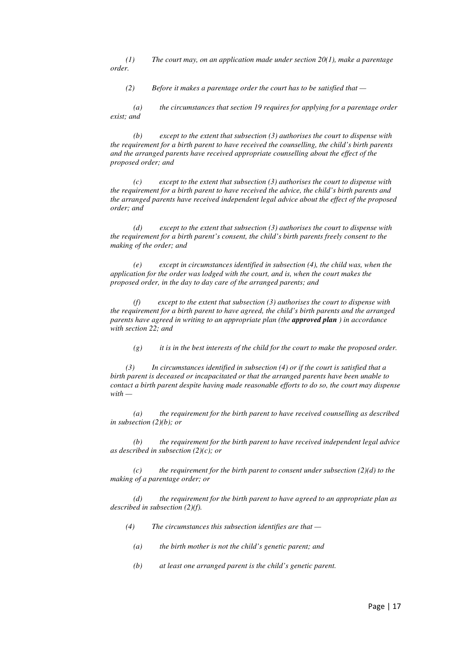*(1) The court may, on an application made under section 20(1), make a parentage order.* 

 *(2) Before it makes a parentage order the court has to be satisfied that —* 

 *(a) the circumstances that section 19 requires for applying for a parentage order exist; and* 

 *(b) except to the extent that subsection (3) authorises the court to dispense with the requirement for a birth parent to have received the counselling, the child's birth parents and the arranged parents have received appropriate counselling about the effect of the proposed order; and* 

 *(c) except to the extent that subsection (3) authorises the court to dispense with the requirement for a birth parent to have received the advice, the child's birth parents and the arranged parents have received independent legal advice about the effect of the proposed order; and* 

 *(d) except to the extent that subsection (3) authorises the court to dispense with the requirement for a birth parent's consent, the child's birth parents freely consent to the making of the order; and* 

 *(e) except in circumstances identified in subsection (4), the child was, when the application for the order was lodged with the court, and is, when the court makes the proposed order, in the day to day care of the arranged parents; and* 

 *(f) except to the extent that subsection (3) authorises the court to dispense with the requirement for a birth parent to have agreed, the child's birth parents and the arranged parents have agreed in writing to an appropriate plan (the approved plan ) in accordance with section 22; and* 

 *(g) it is in the best interests of the child for the court to make the proposed order.* 

 *(3) In circumstances identified in subsection (4) or if the court is satisfied that a birth parent is deceased or incapacitated or that the arranged parents have been unable to contact a birth parent despite having made reasonable efforts to do so, the court may dispense with —* 

 *(a) the requirement for the birth parent to have received counselling as described in subsection (2)(b); or* 

 *(b) the requirement for the birth parent to have received independent legal advice as described in subsection (2)(c); or* 

 *(c) the requirement for the birth parent to consent under subsection (2)(d) to the making of a parentage order; or* 

 *(d) the requirement for the birth parent to have agreed to an appropriate plan as described in subsection (2)(f).* 

 *(4) The circumstances this subsection identifies are that —* 

- *(a) the birth mother is not the child's genetic parent; and*
- *(b) at least one arranged parent is the child's genetic parent.*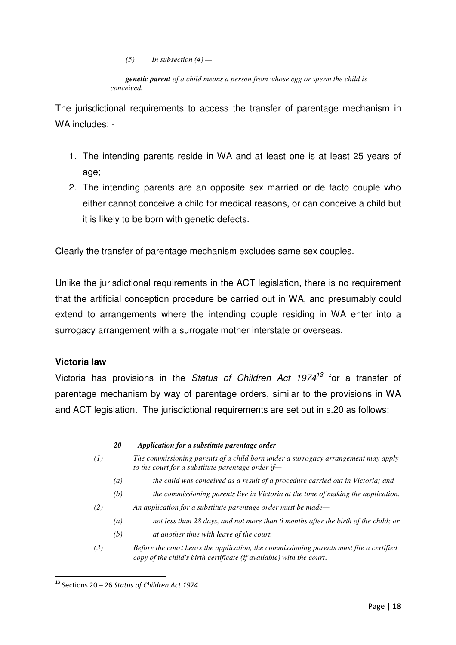*(5) In subsection (4) —* 

 *genetic parent of a child means a person from whose egg or sperm the child is conceived.* 

The jurisdictional requirements to access the transfer of parentage mechanism in WA includes: -

- 1. The intending parents reside in WA and at least one is at least 25 years of age;
- 2. The intending parents are an opposite sex married or de facto couple who either cannot conceive a child for medical reasons, or can conceive a child but it is likely to be born with genetic defects.

Clearly the transfer of parentage mechanism excludes same sex couples.

Unlike the jurisdictional requirements in the ACT legislation, there is no requirement that the artificial conception procedure be carried out in WA, and presumably could extend to arrangements where the intending couple residing in WA enter into a surrogacy arrangement with a surrogate mother interstate or overseas.

## **Victoria law**

Victoria has provisions in the Status of Children Act  $1974^{13}$  for a transfer of parentage mechanism by way of parentage orders, similar to the provisions in WA and ACT legislation. The jurisdictional requirements are set out in s.20 as follows:

- *20 Application for a substitute parentage order*
- *(1) The commissioning parents of a child born under a surrogacy arrangement may apply to the court for a substitute parentage order if—* 
	- *(a) the child was conceived as a result of a procedure carried out in Victoria; and*
	- *(b) the commissioning parents live in Victoria at the time of making the application.*

 *(2) An application for a substitute parentage order must be made—* 

- *(a) not less than 28 days, and not more than 6 months after the birth of the child; or*
- *(b) at another time with leave of the court.*
- *(3) Before the court hears the application, the commissioning parents must file a certified copy of the child's birth certificate (if available) with the court*.

 $\overline{a}$  $13$  Sections 20 – 26 Status of Children Act 1974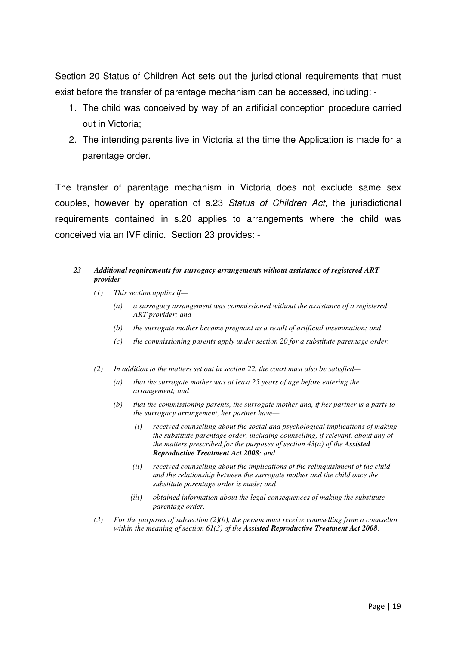Section 20 Status of Children Act sets out the jurisdictional requirements that must exist before the transfer of parentage mechanism can be accessed, including: -

- 1. The child was conceived by way of an artificial conception procedure carried out in Victoria;
- 2. The intending parents live in Victoria at the time the Application is made for a parentage order.

The transfer of parentage mechanism in Victoria does not exclude same sex couples, however by operation of s.23 Status of Children Act, the jurisdictional requirements contained in s.20 applies to arrangements where the child was conceived via an IVF clinic. Section 23 provides: -

- *23 Additional requirements for surrogacy arrangements without assistance of registered ART provider* 
	- *(1) This section applies if—* 
		- *(a) a surrogacy arrangement was commissioned without the assistance of a registered ART provider; and*
		- *(b) the surrogate mother became pregnant as a result of artificial insemination; and*
		- *(c) the commissioning parents apply under section 20 for a substitute parentage order.*
	- *(2) In addition to the matters set out in section 22, the court must also be satisfied—* 
		- *(a) that the surrogate mother was at least 25 years of age before entering the arrangement; and*
		- *(b) that the commissioning parents, the surrogate mother and, if her partner is a party to the surrogacy arrangement, her partner have—* 
			- *(i) received counselling about the social and psychological implications of making the substitute parentage order, including counselling, if relevant, about any of the matters prescribed for the purposes of section 43(a) of the Assisted Reproductive Treatment Act 2008; and*
			- *(ii) received counselling about the implications of the relinquishment of the child and the relationship between the surrogate mother and the child once the substitute parentage order is made; and*
			- *(iii) obtained information about the legal consequences of making the substitute parentage order.*
	- *(3) For the purposes of subsection (2)(b), the person must receive counselling from a counsellor within the meaning of section 61(3) of the Assisted Reproductive Treatment Act 2008.*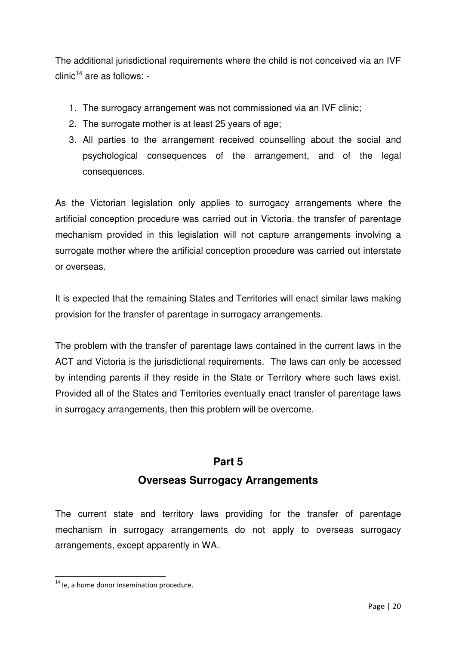The additional jurisdictional requirements where the child is not conceived via an IVF  $\text{clinic}^{14}$  are as follows: -

- 1. The surrogacy arrangement was not commissioned via an IVF clinic;
- 2. The surrogate mother is at least 25 years of age;
- 3. All parties to the arrangement received counselling about the social and psychological consequences of the arrangement, and of the legal consequences.

As the Victorian legislation only applies to surrogacy arrangements where the artificial conception procedure was carried out in Victoria, the transfer of parentage mechanism provided in this legislation will not capture arrangements involving a surrogate mother where the artificial conception procedure was carried out interstate or overseas.

It is expected that the remaining States and Territories will enact similar laws making provision for the transfer of parentage in surrogacy arrangements.

The problem with the transfer of parentage laws contained in the current laws in the ACT and Victoria is the jurisdictional requirements. The laws can only be accessed by intending parents if they reside in the State or Territory where such laws exist. Provided all of the States and Territories eventually enact transfer of parentage laws in surrogacy arrangements, then this problem will be overcome.

## **Part 5**

## **Overseas Surrogacy Arrangements**

The current state and territory laws providing for the transfer of parentage mechanism in surrogacy arrangements do not apply to overseas surrogacy arrangements, except apparently in WA.

 $14$  Ie, a home donor insemination procedure.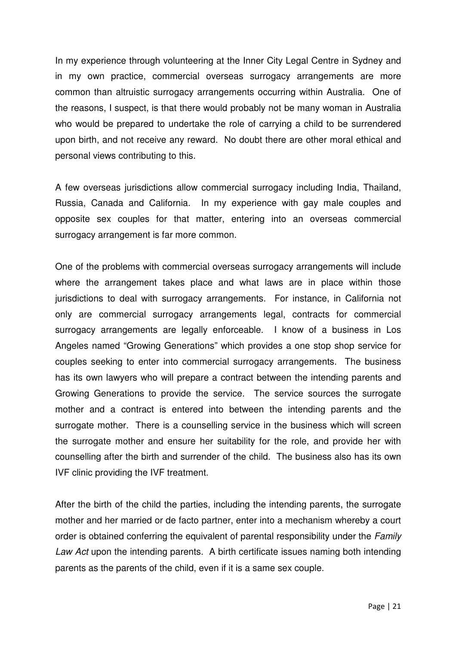In my experience through volunteering at the Inner City Legal Centre in Sydney and in my own practice, commercial overseas surrogacy arrangements are more common than altruistic surrogacy arrangements occurring within Australia. One of the reasons, I suspect, is that there would probably not be many woman in Australia who would be prepared to undertake the role of carrying a child to be surrendered upon birth, and not receive any reward. No doubt there are other moral ethical and personal views contributing to this.

A few overseas jurisdictions allow commercial surrogacy including India, Thailand, Russia, Canada and California. In my experience with gay male couples and opposite sex couples for that matter, entering into an overseas commercial surrogacy arrangement is far more common.

One of the problems with commercial overseas surrogacy arrangements will include where the arrangement takes place and what laws are in place within those jurisdictions to deal with surrogacy arrangements. For instance, in California not only are commercial surrogacy arrangements legal, contracts for commercial surrogacy arrangements are legally enforceable. I know of a business in Los Angeles named "Growing Generations" which provides a one stop shop service for couples seeking to enter into commercial surrogacy arrangements. The business has its own lawyers who will prepare a contract between the intending parents and Growing Generations to provide the service. The service sources the surrogate mother and a contract is entered into between the intending parents and the surrogate mother. There is a counselling service in the business which will screen the surrogate mother and ensure her suitability for the role, and provide her with counselling after the birth and surrender of the child. The business also has its own IVF clinic providing the IVF treatment.

After the birth of the child the parties, including the intending parents, the surrogate mother and her married or de facto partner, enter into a mechanism whereby a court order is obtained conferring the equivalent of parental responsibility under the Family Law Act upon the intending parents. A birth certificate issues naming both intending parents as the parents of the child, even if it is a same sex couple.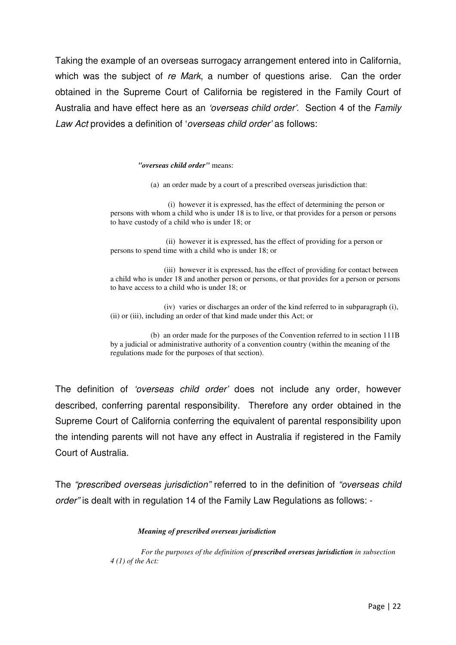Taking the example of an overseas surrogacy arrangement entered into in California, which was the subject of re Mark, a number of questions arise. Can the order obtained in the Supreme Court of California be registered in the Family Court of Australia and have effect here as an 'overseas child order'. Section 4 of the Family Law Act provides a definition of 'overseas child order' as follows:

*"overseas child order"* means:

(a) an order made by a court of a prescribed overseas jurisdiction that:

 (i) however it is expressed, has the effect of determining the person or persons with whom a child who is under 18 is to live, or that provides for a person or persons to have custody of a child who is under 18; or

 (ii) however it is expressed, has the effect of providing for a person or persons to spend time with a child who is under 18; or

 (iii) however it is expressed, has the effect of providing for contact between a child who is under 18 and another person or persons, or that provides for a person or persons to have access to a child who is under 18; or

 (iv) varies or discharges an order of the kind referred to in subparagraph (i), (ii) or (iii), including an order of that kind made under this Act; or

 (b) an order made for the purposes of the Convention referred to in section 111B by a judicial or administrative authority of a convention country (within the meaning of the regulations made for the purposes of that section).

The definition of 'overseas child order' does not include any order, however described, conferring parental responsibility. Therefore any order obtained in the Supreme Court of California conferring the equivalent of parental responsibility upon the intending parents will not have any effect in Australia if registered in the Family Court of Australia.

The "prescribed overseas jurisdiction" referred to in the definition of "overseas child order" is dealt with in regulation 14 of the Family Law Regulations as follows: -

#### *Meaning of prescribed overseas jurisdiction*

 *For the purposes of the definition of prescribed overseas jurisdiction in subsection 4 (1) of the Act:*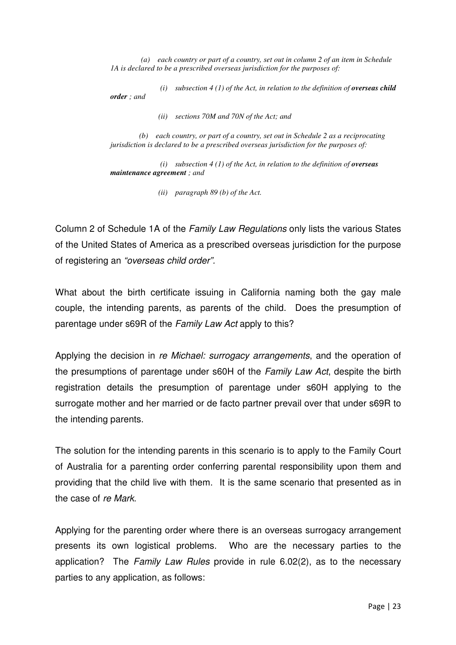*(a) each country or part of a country, set out in column 2 of an item in Schedule 1A is declared to be a prescribed overseas jurisdiction for the purposes of:* 

 $(i)$  subsection  $4(1)$  of the Act, in relation to the definition of *overseas child order ; and* 

 *(ii) sections 70M and 70N of the Act; and* 

 *(b) each country, or part of a country, set out in Schedule 2 as a reciprocating jurisdiction is declared to be a prescribed overseas jurisdiction for the purposes of:* 

*(i)* subsection 4 (1) of the Act, in relation to the definition of *overseas maintenance agreement ; and* 

 *(ii) paragraph 89 (b) of the Act.*

Column 2 of Schedule 1A of the Family Law Regulations only lists the various States of the United States of America as a prescribed overseas jurisdiction for the purpose of registering an "overseas child order".

What about the birth certificate issuing in California naming both the gay male couple, the intending parents, as parents of the child. Does the presumption of parentage under s69R of the Family Law Act apply to this?

Applying the decision in re Michael: surrogacy arrangements, and the operation of the presumptions of parentage under s60H of the Family Law Act, despite the birth registration details the presumption of parentage under s60H applying to the surrogate mother and her married or de facto partner prevail over that under s69R to the intending parents.

The solution for the intending parents in this scenario is to apply to the Family Court of Australia for a parenting order conferring parental responsibility upon them and providing that the child live with them. It is the same scenario that presented as in the case of re Mark.

Applying for the parenting order where there is an overseas surrogacy arrangement presents its own logistical problems. Who are the necessary parties to the application? The Family Law Rules provide in rule 6.02(2), as to the necessary parties to any application, as follows: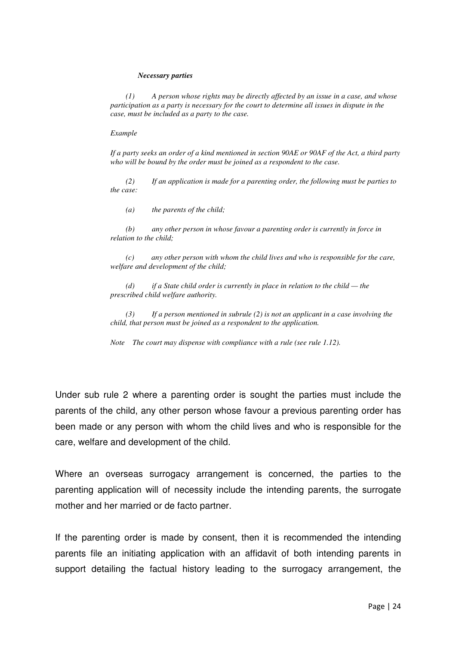#### *Necessary parties*

 *(1) A person whose rights may be directly affected by an issue in a case, and whose participation as a party is necessary for the court to determine all issues in dispute in the case, must be included as a party to the case.* 

#### *Example*

*If a party seeks an order of a kind mentioned in section 90AE or 90AF of the Act, a third party who will be bound by the order must be joined as a respondent to the case.* 

 *(2) If an application is made for a parenting order, the following must be parties to the case:* 

 *(a) the parents of the child;* 

 *(b) any other person in whose favour a parenting order is currently in force in relation to the child;* 

 *(c) any other person with whom the child lives and who is responsible for the care, welfare and development of the child;* 

 *(d) if a State child order is currently in place in relation to the child — the prescribed child welfare authority.* 

 *(3) If a person mentioned in subrule (2) is not an applicant in a case involving the child, that person must be joined as a respondent to the application.* 

*Note The court may dispense with compliance with a rule (see rule 1.12).* 

Under sub rule 2 where a parenting order is sought the parties must include the parents of the child, any other person whose favour a previous parenting order has been made or any person with whom the child lives and who is responsible for the care, welfare and development of the child.

Where an overseas surrogacy arrangement is concerned, the parties to the parenting application will of necessity include the intending parents, the surrogate mother and her married or de facto partner.

If the parenting order is made by consent, then it is recommended the intending parents file an initiating application with an affidavit of both intending parents in support detailing the factual history leading to the surrogacy arrangement, the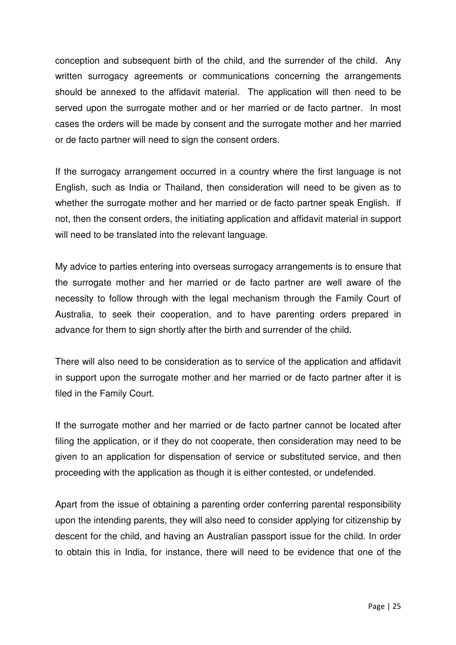conception and subsequent birth of the child, and the surrender of the child. Any written surrogacy agreements or communications concerning the arrangements should be annexed to the affidavit material. The application will then need to be served upon the surrogate mother and or her married or de facto partner. In most cases the orders will be made by consent and the surrogate mother and her married or de facto partner will need to sign the consent orders.

If the surrogacy arrangement occurred in a country where the first language is not English, such as India or Thailand, then consideration will need to be given as to whether the surrogate mother and her married or de facto partner speak English. If not, then the consent orders, the initiating application and affidavit material in support will need to be translated into the relevant language.

My advice to parties entering into overseas surrogacy arrangements is to ensure that the surrogate mother and her married or de facto partner are well aware of the necessity to follow through with the legal mechanism through the Family Court of Australia, to seek their cooperation, and to have parenting orders prepared in advance for them to sign shortly after the birth and surrender of the child.

There will also need to be consideration as to service of the application and affidavit in support upon the surrogate mother and her married or de facto partner after it is filed in the Family Court.

If the surrogate mother and her married or de facto partner cannot be located after filing the application, or if they do not cooperate, then consideration may need to be given to an application for dispensation of service or substituted service, and then proceeding with the application as though it is either contested, or undefended.

Apart from the issue of obtaining a parenting order conferring parental responsibility upon the intending parents, they will also need to consider applying for citizenship by descent for the child, and having an Australian passport issue for the child. In order to obtain this in India, for instance, there will need to be evidence that one of the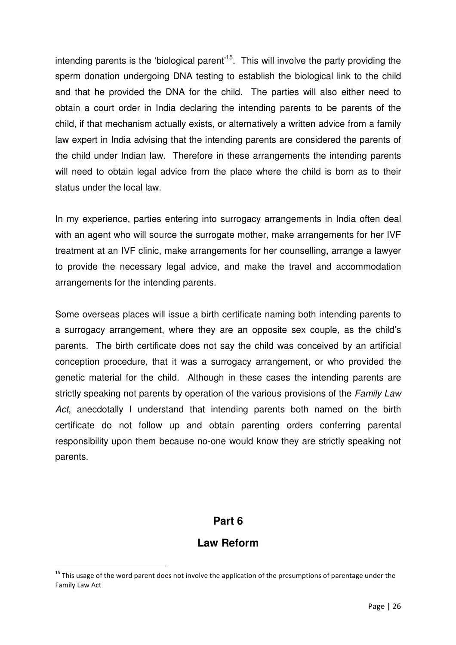intending parents is the 'biological parent'<sup>15</sup>. This will involve the party providing the sperm donation undergoing DNA testing to establish the biological link to the child and that he provided the DNA for the child. The parties will also either need to obtain a court order in India declaring the intending parents to be parents of the child, if that mechanism actually exists, or alternatively a written advice from a family law expert in India advising that the intending parents are considered the parents of the child under Indian law. Therefore in these arrangements the intending parents will need to obtain legal advice from the place where the child is born as to their status under the local law.

In my experience, parties entering into surrogacy arrangements in India often deal with an agent who will source the surrogate mother, make arrangements for her IVF treatment at an IVF clinic, make arrangements for her counselling, arrange a lawyer to provide the necessary legal advice, and make the travel and accommodation arrangements for the intending parents.

Some overseas places will issue a birth certificate naming both intending parents to a surrogacy arrangement, where they are an opposite sex couple, as the child's parents. The birth certificate does not say the child was conceived by an artificial conception procedure, that it was a surrogacy arrangement, or who provided the genetic material for the child. Although in these cases the intending parents are strictly speaking not parents by operation of the various provisions of the Family Law Act, anecdotally I understand that intending parents both named on the birth certificate do not follow up and obtain parenting orders conferring parental responsibility upon them because no-one would know they are strictly speaking not parents.

## **Part 6**

## **Law Reform**

l

<sup>&</sup>lt;sup>15</sup> This usage of the word parent does not involve the application of the presumptions of parentage under the Family Law Act